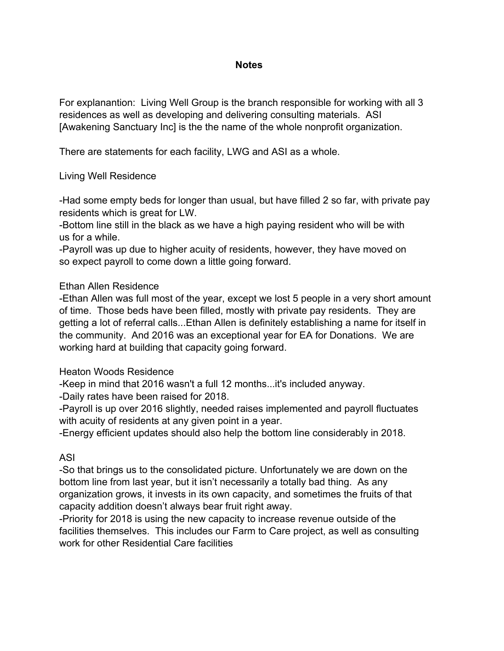#### **Notes**

For explanantion: Living Well Group is the branch responsible for working with all 3 residences as well as developing and delivering consulting materials. ASI [Awakening Sanctuary Inc] is the the name of the whole nonprofit organization.

There are statements for each facility, LWG and ASI as a whole.

### Living Well Residence

-Had some empty beds for longer than usual, but have filled 2 so far, with private pay residents which is great for LW.

-Bottom line still in the black as we have a high paying resident who will be with us for a while.

-Payroll was up due to higher acuity of residents, however, they have moved on so expect payroll to come down a little going forward.

### Ethan Allen Residence

-Ethan Allen was full most of the year, except we lost 5 people in a very short amount of time. Those beds have been filled, mostly with private pay residents. They are getting a lot of referral calls...Ethan Allen is definitely establishing a name for itself in the community. And 2016 was an exceptional year for EA for Donations. We are working hard at building that capacity going forward.

#### Heaton Woods Residence

-Keep in mind that 2016 wasn't a full 12 months...it's included anyway.

-Daily rates have been raised for 2018.

-Payroll is up over 2016 slightly, needed raises implemented and payroll fluctuates with acuity of residents at any given point in a year.

-Energy efficient updates should also help the bottom line considerably in 2018.

### ASI

-So that brings us to the consolidated picture. Unfortunately we are down on the bottom line from last year, but it isn't necessarily a totally bad thing. As any organization grows, it invests in its own capacity, and sometimes the fruits of that capacity addition doesn't always bear fruit right away.

-Priority for 2018 is using the new capacity to increase revenue outside of the facilities themselves. This includes our Farm to Care project, as well as consulting work for other Residential Care facilities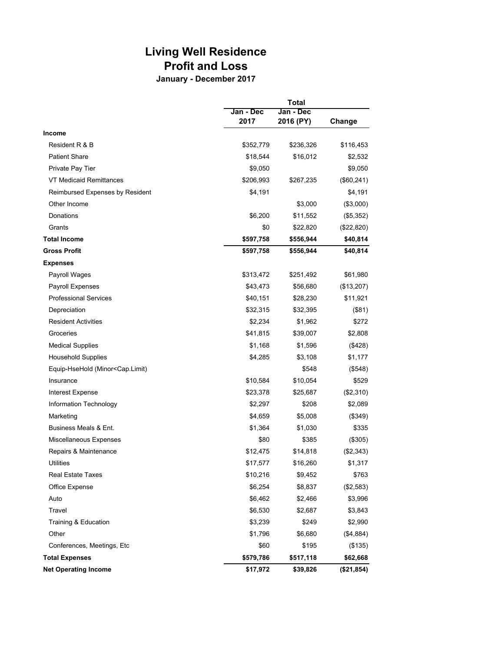# **Living Well Residence Profit and Loss**

**January - December 2017**

|                                                                                               |                   | <b>Total</b>           |            |  |
|-----------------------------------------------------------------------------------------------|-------------------|------------------------|------------|--|
|                                                                                               | Jan - Dec<br>2017 | Jan - Dec<br>2016 (PY) | Change     |  |
| <b>Income</b>                                                                                 |                   |                        |            |  |
| Resident R & B                                                                                | \$352,779         | \$236,326              | \$116,453  |  |
| <b>Patient Share</b>                                                                          | \$18,544          | \$16,012               | \$2,532    |  |
| Private Pay Tier                                                                              | \$9,050           |                        | \$9,050    |  |
| VT Medicaid Remittances                                                                       | \$206,993         | \$267,235              | (\$60,241) |  |
| Reimbursed Expenses by Resident                                                               | \$4,191           |                        | \$4,191    |  |
| Other Income                                                                                  |                   | \$3,000                | (\$3,000)  |  |
| Donations                                                                                     | \$6,200           | \$11,552               | (\$5,352)  |  |
| Grants                                                                                        | \$0               | \$22,820               | (\$22,820) |  |
| <b>Total Income</b>                                                                           | \$597,758         | \$556,944              | \$40,814   |  |
| <b>Gross Profit</b>                                                                           | \$597,758         | \$556,944              | \$40,814   |  |
| <b>Expenses</b>                                                                               |                   |                        |            |  |
| Payroll Wages                                                                                 | \$313,472         | \$251,492              | \$61,980   |  |
| Payroll Expenses                                                                              | \$43,473          | \$56,680               | (\$13,207) |  |
| <b>Professional Services</b>                                                                  | \$40,151          | \$28,230               | \$11,921   |  |
| Depreciation                                                                                  | \$32,315          | \$32,395               | (\$81)     |  |
| <b>Resident Activities</b>                                                                    | \$2,234           | \$1,962                | \$272      |  |
| Groceries                                                                                     | \$41,815          | \$39,007               | \$2,808    |  |
| <b>Medical Supplies</b>                                                                       | \$1,168           | \$1,596                | (\$428)    |  |
| <b>Household Supplies</b>                                                                     | \$4,285           | \$3,108                | \$1,177    |  |
| Equip-HseHold (Minor <cap.limit)< td=""><td></td><td>\$548</td><td>(\$548)</td></cap.limit)<> |                   | \$548                  | (\$548)    |  |
| Insurance                                                                                     | \$10,584          | \$10,054               | \$529      |  |
| Interest Expense                                                                              | \$23,378          | \$25,687               | (\$2,310)  |  |
| Information Technology                                                                        | \$2,297           | \$208                  | \$2,089    |  |
| Marketing                                                                                     | \$4,659           | \$5,008                | (\$349)    |  |
| Business Meals & Ent.                                                                         | \$1,364           | \$1,030                | \$335      |  |
| Miscellaneous Expenses                                                                        | \$80              | \$385                  | (\$305)    |  |
| Repairs & Maintenance                                                                         | \$12,475          | \$14,818               | (\$2,343)  |  |
| <b>Utilities</b>                                                                              | \$17,577          | \$16,260               | \$1,317    |  |
| Real Estate Taxes                                                                             | \$10,216          | \$9,452                | \$763      |  |
| Office Expense                                                                                | \$6,254           | \$8,837                | (\$2,583)  |  |
| Auto                                                                                          | \$6,462           | \$2,466                | \$3,996    |  |
| Travel                                                                                        | \$6,530           | \$2,687                | \$3,843    |  |
| Training & Education                                                                          | \$3,239           | \$249                  | \$2,990    |  |
| Other                                                                                         | \$1,796           | \$6,680                | (\$4,884)  |  |
| Conferences, Meetings, Etc                                                                    | \$60              | \$195                  | (\$135)    |  |
| <b>Total Expenses</b>                                                                         | \$579,786         | \$517,118              | \$62,668   |  |
| <b>Net Operating Income</b>                                                                   | \$17,972          | \$39,826               | (\$21,854) |  |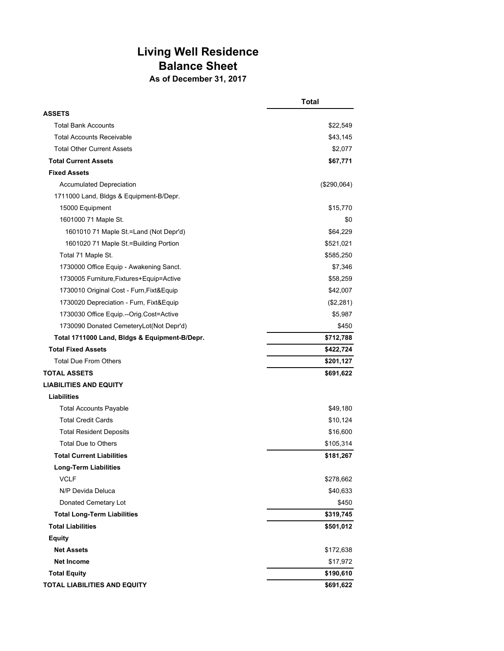## **Living Well Residence Balance Sheet As of December 31, 2017**

|                                               | <b>Total</b>  |
|-----------------------------------------------|---------------|
| <b>ASSETS</b>                                 |               |
| <b>Total Bank Accounts</b>                    | \$22,549      |
| <b>Total Accounts Receivable</b>              | \$43,145      |
| <b>Total Other Current Assets</b>             | \$2,077       |
| <b>Total Current Assets</b>                   | \$67,771      |
| <b>Fixed Assets</b>                           |               |
| <b>Accumulated Depreciation</b>               | $(\$290,064)$ |
| 1711000 Land, Bldgs & Equipment-B/Depr.       |               |
| 15000 Equipment                               | \$15,770      |
| 1601000 71 Maple St.                          | \$0           |
| 1601010 71 Maple St.=Land (Not Depr'd)        | \$64,229      |
| 1601020 71 Maple St.=Building Portion         | \$521,021     |
| Total 71 Maple St.                            | \$585,250     |
| 1730000 Office Equip - Awakening Sanct.       | \$7,346       |
| 1730005 Furniture, Fixtures+Equip=Active      | \$58,259      |
| 1730010 Original Cost - Furn, Fixt& Equip     | \$42,007      |
| 1730020 Depreciation - Furn, Fixt&Equip       | (\$2,281)     |
| 1730030 Office Equip.--Orig.Cost=Active       | \$5,987       |
| 1730090 Donated CemeteryLot(Not Depr'd)       | \$450         |
| Total 1711000 Land, Bldgs & Equipment-B/Depr. | \$712,788     |
| <b>Total Fixed Assets</b>                     | \$422,724     |
| <b>Total Due From Others</b>                  | \$201,127     |
| <b>TOTAL ASSETS</b>                           | \$691,622     |
| <b>LIABILITIES AND EQUITY</b>                 |               |
| <b>Liabilities</b>                            |               |
| <b>Total Accounts Payable</b>                 | \$49,180      |
| <b>Total Credit Cards</b>                     | \$10,124      |
| <b>Total Resident Deposits</b>                | \$16,600      |
| <b>Total Due to Others</b>                    | \$105,314     |
| <b>Total Current Liabilities</b>              | \$181,267     |
| <b>Long-Term Liabilities</b>                  |               |
| <b>VCLF</b>                                   | \$278,662     |
| N/P Devida Deluca                             | \$40,633      |
| Donated Cemetary Lot                          | \$450         |
| <b>Total Long-Term Liabilities</b>            | \$319,745     |
| <b>Total Liabilities</b>                      | \$501,012     |
| <b>Equity</b>                                 |               |
| <b>Net Assets</b>                             | \$172,638     |
| <b>Net Income</b>                             | \$17,972      |
| <b>Total Equity</b>                           | \$190,610     |
| TOTAL LIABILITIES AND EQUITY                  | \$691,622     |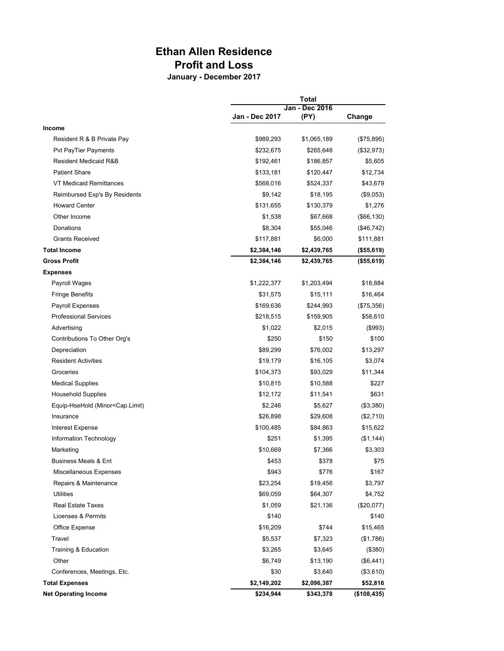### **Ethan Allen Residence Profit and Loss**

**January - December 2017**

|                                                                                                          | <b>Total</b>   |                |             |
|----------------------------------------------------------------------------------------------------------|----------------|----------------|-------------|
|                                                                                                          |                | Jan - Dec 2016 |             |
|                                                                                                          | Jan - Dec 2017 | (PY)           | Change      |
| Income                                                                                                   |                |                |             |
| Resident R & B Private Pay                                                                               | \$989,293      | \$1,065,189    | (\$75,895)  |
| <b>Pvt PayTier Payments</b>                                                                              | \$232,675      | \$265,648      | (\$32,973)  |
| Resident Medicaid R&B                                                                                    | \$192,461      | \$186,857      | \$5,605     |
| <b>Patient Share</b>                                                                                     | \$133,181      | \$120,447      | \$12,734    |
| VT Medicaid Remittances                                                                                  | \$568,016      | \$524,337      | \$43,679    |
| Reimbursed Exp's By Residents                                                                            | \$9,142        | \$18,195       | (\$9,053)   |
| <b>Howard Center</b>                                                                                     | \$131,655      | \$130,379      | \$1,276     |
| Other Income                                                                                             | \$1,538        | \$67,668       | (\$66, 130) |
| Donations                                                                                                | \$8,304        | \$55,046       | (\$46,742)  |
| <b>Grants Received</b>                                                                                   | \$117,881      | \$6,000        | \$111,881   |
| <b>Total Income</b>                                                                                      | \$2,384,146    | \$2,439,765    | (\$55,619)  |
| <b>Gross Profit</b>                                                                                      | \$2,384,146    | \$2,439,765    | (\$55,619)  |
| <b>Expenses</b>                                                                                          |                |                |             |
| Payroll Wages                                                                                            | \$1,222,377    | \$1,203,494    | \$18,884    |
| <b>Fringe Benefits</b>                                                                                   | \$31,575       | \$15,111       | \$16,464    |
| Payroll Expenses                                                                                         | \$169,636      | \$244,993      | (\$75,356)  |
| <b>Professional Services</b>                                                                             | \$218,515      | \$159,905      | \$58,610    |
| Advertising                                                                                              | \$1,022        | \$2,015        | (\$993)     |
| Contributions To Other Org's                                                                             | \$250          | \$150          | \$100       |
| Depreciation                                                                                             | \$89,299       | \$76,002       | \$13,297    |
| <b>Resident Activities</b>                                                                               | \$19,179       | \$16,105       | \$3,074     |
| Groceries                                                                                                | \$104,373      | \$93,029       | \$11,344    |
| <b>Medical Supplies</b>                                                                                  | \$10,815       | \$10,588       | \$227       |
| <b>Household Supplies</b>                                                                                | \$12,172       | \$11,541       | \$631       |
| Equip-HseHold (Minor <cap.limit)< td=""><td>\$2,246</td><td>\$5,627</td><td>(\$3,380)</td></cap.limit)<> | \$2,246        | \$5,627        | (\$3,380)   |
| Insurance                                                                                                | \$26,898       | \$29,608       | (\$2,710)   |
| Interest Expense                                                                                         | \$100,485      | \$84,863       | \$15,622    |
| Information Technology                                                                                   | \$251          | \$1,395        | (\$1,144)   |
| Marketing                                                                                                | \$10,669       | \$7,366        | \$3,303     |
| <b>Business Meals &amp; Ent</b>                                                                          | \$453          | \$378          | \$75        |
| Miscellaneous Expenses                                                                                   | \$943          | \$776          | \$167       |
| Repairs & Maintenance                                                                                    | \$23,254       | \$19,456       | \$3,797     |
| Utilities                                                                                                | \$69,059       | \$64,307       | \$4,752     |
| <b>Real Estate Taxes</b>                                                                                 | \$1,059        | \$21,136       | (\$20,077)  |
| Licenses & Permits                                                                                       | \$140          |                | \$140       |
| Office Expense                                                                                           | \$16,209       | \$744          | \$15,465    |
| Travel                                                                                                   | \$5,537        | \$7,323        | (\$1,786)   |
| Training & Education                                                                                     | \$3,265        | \$3,645        | (\$380)     |
| Other                                                                                                    | \$6,749        | \$13,190       | (\$6,441)   |
| Conferences, Meetings, Etc.                                                                              | \$30           | \$3,640        | (\$3,610)   |
| <b>Total Expenses</b>                                                                                    | \$2,149,202    | \$2,096,387    | \$52,816    |
| <b>Net Operating Income</b>                                                                              | \$234,944      | \$343,378      | (\$108,435) |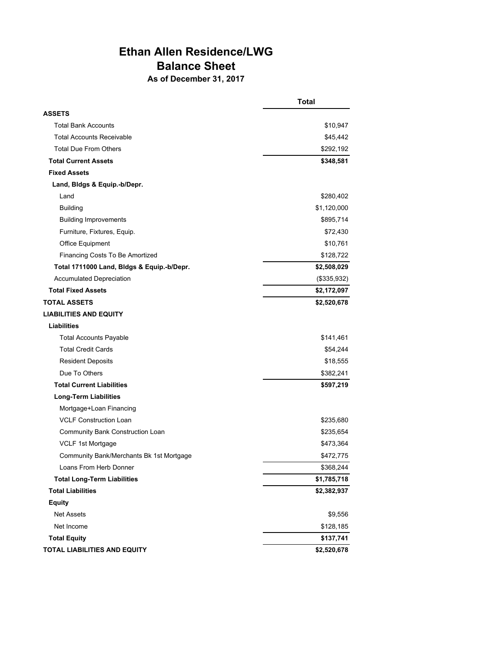# **Ethan Allen Residence/LWG Balance Sheet**

**As of December 31, 2017**

|                                            | <b>Total</b> |
|--------------------------------------------|--------------|
| <b>ASSETS</b>                              |              |
| <b>Total Bank Accounts</b>                 | \$10,947     |
| <b>Total Accounts Receivable</b>           | \$45,442     |
| <b>Total Due From Others</b>               | \$292,192    |
| <b>Total Current Assets</b>                | \$348,581    |
| <b>Fixed Assets</b>                        |              |
| Land, Bidgs & Equip.-b/Depr.               |              |
| Land                                       | \$280,402    |
| <b>Building</b>                            | \$1,120,000  |
| <b>Building Improvements</b>               | \$895,714    |
| Furniture, Fixtures, Equip.                | \$72,430     |
| Office Equipment                           | \$10,761     |
| Financing Costs To Be Amortized            | \$128,722    |
| Total 1711000 Land, Bldgs & Equip.-b/Depr. | \$2,508,029  |
| <b>Accumulated Depreciation</b>            | (\$335,932)  |
| <b>Total Fixed Assets</b>                  | \$2,172,097  |
| <b>TOTAL ASSETS</b>                        | \$2,520,678  |
| <b>LIABILITIES AND EQUITY</b>              |              |
| <b>Liabilities</b>                         |              |
| <b>Total Accounts Payable</b>              | \$141,461    |
| <b>Total Credit Cards</b>                  | \$54,244     |
| <b>Resident Deposits</b>                   | \$18,555     |
| Due To Others                              | \$382,241    |
| <b>Total Current Liabilities</b>           | \$597,219    |
| <b>Long-Term Liabilities</b>               |              |
| Mortgage+Loan Financing                    |              |
| <b>VCLF Construction Loan</b>              | \$235,680    |
| Community Bank Construction Loan           | \$235,654    |
| VCLF 1st Mortgage                          | \$473,364    |
| Community Bank/Merchants Bk 1st Mortgage   | \$472,775    |
| Loans From Herb Donner                     | \$368,244    |
| <b>Total Long-Term Liabilities</b>         | \$1,785,718  |
| <b>Total Liabilities</b>                   | \$2,382,937  |
| <b>Equity</b>                              |              |
| Net Assets                                 | \$9,556      |
| Net Income                                 | \$128,185    |
| <b>Total Equity</b>                        | \$137,741    |
| <b>TOTAL LIABILITIES AND EQUITY</b>        | \$2,520,678  |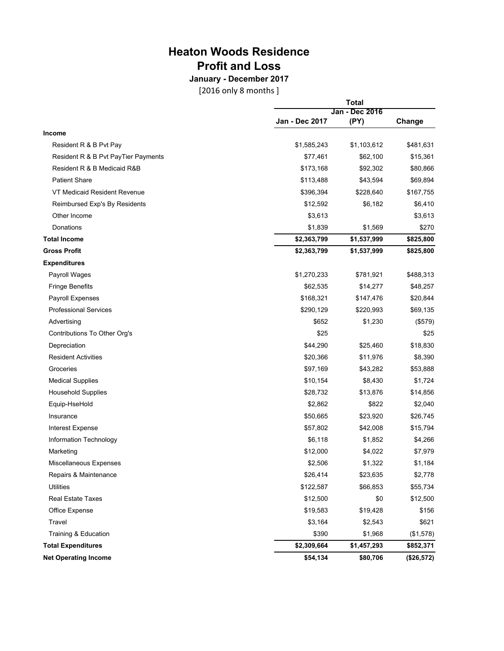# **Heaton Woods Residence Profit and Loss**

**January - December 2017** [2016 only 8 months ]

|                                     | <b>Total</b>   |                |            |
|-------------------------------------|----------------|----------------|------------|
|                                     |                | Jan - Dec 2016 |            |
|                                     | Jan - Dec 2017 | (PY)           | Change     |
| Income                              |                |                |            |
| Resident R & B Pvt Pay              | \$1,585,243    | \$1,103,612    | \$481,631  |
| Resident R & B Pvt PayTier Payments | \$77,461       | \$62,100       | \$15,361   |
| Resident R & B Medicaid R&B         | \$173,168      | \$92,302       | \$80,866   |
| <b>Patient Share</b>                | \$113,488      | \$43,594       | \$69,894   |
| VT Medicaid Resident Revenue        | \$396,394      | \$228,640      | \$167,755  |
| Reimbursed Exp's By Residents       | \$12,592       | \$6,182        | \$6,410    |
| Other Income                        | \$3,613        |                | \$3,613    |
| Donations                           | \$1,839        | \$1,569        | \$270      |
| <b>Total Income</b>                 | \$2,363,799    | \$1,537,999    | \$825,800  |
| <b>Gross Profit</b>                 | \$2,363,799    | \$1,537,999    | \$825,800  |
| <b>Expenditures</b>                 |                |                |            |
| Payroll Wages                       | \$1,270,233    | \$781,921      | \$488,313  |
| <b>Fringe Benefits</b>              | \$62,535       | \$14,277       | \$48,257   |
| Payroll Expenses                    | \$168,321      | \$147,476      | \$20,844   |
| <b>Professional Services</b>        | \$290,129      | \$220,993      | \$69,135   |
| Advertising                         | \$652          | \$1,230        | (\$579)    |
| Contributions To Other Org's        | \$25           |                | \$25       |
| Depreciation                        | \$44,290       | \$25,460       | \$18,830   |
| <b>Resident Activities</b>          | \$20,366       | \$11,976       | \$8,390    |
| Groceries                           | \$97,169       | \$43,282       | \$53,888   |
| <b>Medical Supplies</b>             | \$10,154       | \$8,430        | \$1,724    |
| <b>Household Supplies</b>           | \$28,732       | \$13,876       | \$14,856   |
| Equip-HseHold                       | \$2,862        | \$822          | \$2,040    |
| Insurance                           | \$50,665       | \$23,920       | \$26,745   |
| Interest Expense                    | \$57,802       | \$42,008       | \$15,794   |
| Information Technology              | \$6,118        | \$1,852        | \$4,266    |
| Marketing                           | \$12,000       | \$4,022        | \$7,979    |
| Miscellaneous Expenses              | \$2,506        | \$1,322        | \$1,184    |
| Repairs & Maintenance               | \$26,414       | \$23,635       | \$2,778    |
| <b>Utilities</b>                    | \$122,587      | \$66,853       | \$55,734   |
| Real Estate Taxes                   | \$12,500       | \$0            | \$12,500   |
| Office Expense                      | \$19,583       | \$19,428       | \$156      |
| Travel                              | \$3,164        | \$2,543        | \$621      |
| Training & Education                | \$390          | \$1,968        | (\$1,578)  |
| <b>Total Expenditures</b>           | \$2,309,664    | \$1,457,293    | \$852,371  |
| <b>Net Operating Income</b>         | \$54,134       | \$80,706       | (\$26,572) |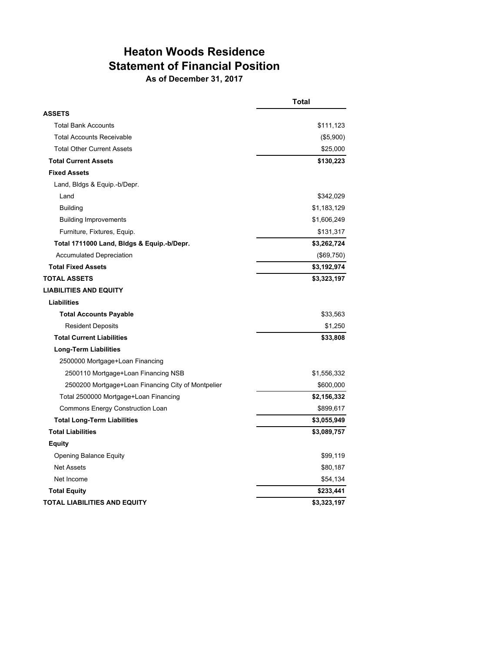## **Heaton Woods Residence Statement of Financial Position As of December 31, 2017**

|                                                    | <b>Total</b> |
|----------------------------------------------------|--------------|
| <b>ASSETS</b>                                      |              |
| <b>Total Bank Accounts</b>                         | \$111,123    |
| <b>Total Accounts Receivable</b>                   | (\$5,900)    |
| <b>Total Other Current Assets</b>                  | \$25,000     |
| <b>Total Current Assets</b>                        | \$130,223    |
| <b>Fixed Assets</b>                                |              |
| Land, Bldgs & Equip.-b/Depr.                       |              |
| Land                                               | \$342,029    |
| <b>Building</b>                                    | \$1,183,129  |
| <b>Building Improvements</b>                       | \$1,606,249  |
| Furniture, Fixtures, Equip.                        | \$131,317    |
| Total 1711000 Land, Bldgs & Equip.-b/Depr.         | \$3,262,724  |
| <b>Accumulated Depreciation</b>                    | (\$69,750)   |
| <b>Total Fixed Assets</b>                          | \$3,192,974  |
| <b>TOTAL ASSETS</b>                                | \$3,323,197  |
| <b>LIABILITIES AND EQUITY</b>                      |              |
| Liabilities                                        |              |
| <b>Total Accounts Payable</b>                      | \$33,563     |
| <b>Resident Deposits</b>                           | \$1,250      |
| <b>Total Current Liabilities</b>                   | \$33,808     |
| <b>Long-Term Liabilities</b>                       |              |
| 2500000 Mortgage+Loan Financing                    |              |
| 2500110 Mortgage+Loan Financing NSB                | \$1,556,332  |
| 2500200 Mortgage+Loan Financing City of Montpelier | \$600,000    |
| Total 2500000 Mortgage+Loan Financing              | \$2,156,332  |
| Commons Energy Construction Loan                   | \$899,617    |
| <b>Total Long-Term Liabilities</b>                 | \$3,055,949  |
| <b>Total Liabilities</b>                           | \$3,089,757  |
| <b>Equity</b>                                      |              |
| Opening Balance Equity                             | \$99,119     |
| <b>Net Assets</b>                                  | \$80,187     |
| Net Income                                         | \$54,134     |
| <b>Total Equity</b>                                | \$233,441    |
| <b>TOTAL LIABILITIES AND EQUITY</b>                | \$3,323,197  |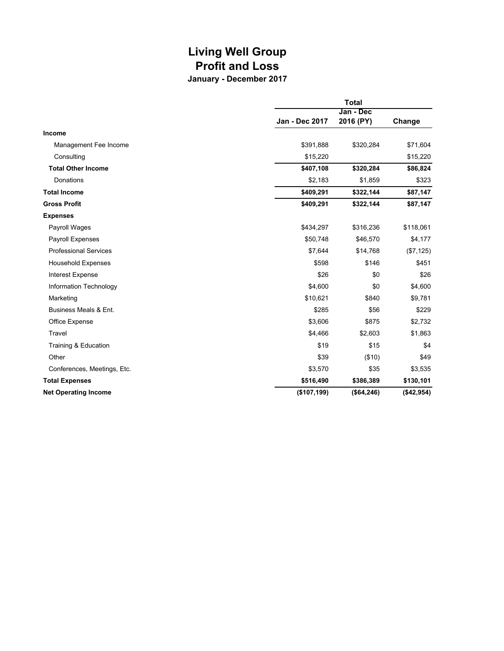## **Living Well Group Profit and Loss January - December 2017**

|                              | <b>Total</b>   |             |                     |  |
|------------------------------|----------------|-------------|---------------------|--|
|                              |                |             | Jan - Dec<br>Change |  |
|                              | Jan - Dec 2017 | 2016 (PY)   |                     |  |
| <b>Income</b>                |                |             |                     |  |
| Management Fee Income        | \$391,888      | \$320,284   | \$71,604            |  |
| Consulting                   | \$15,220       |             | \$15,220            |  |
| <b>Total Other Income</b>    | \$407,108      | \$320,284   | \$86,824            |  |
| Donations                    | \$2,183        | \$1,859     | \$323               |  |
| <b>Total Income</b>          | \$409,291      | \$322,144   | \$87,147            |  |
| <b>Gross Profit</b>          | \$409,291      | \$322,144   | \$87,147            |  |
| <b>Expenses</b>              |                |             |                     |  |
| Payroll Wages                | \$434,297      | \$316,236   | \$118,061           |  |
| <b>Payroll Expenses</b>      | \$50,748       | \$46,570    | \$4,177             |  |
| <b>Professional Services</b> | \$7,644        | \$14,768    | (\$7, 125)          |  |
| <b>Household Expenses</b>    | \$598          | \$146       | \$451               |  |
| <b>Interest Expense</b>      | \$26           | \$0         | \$26                |  |
| Information Technology       | \$4,600        | \$0         | \$4,600             |  |
| Marketing                    | \$10,621       | \$840       | \$9,781             |  |
| Business Meals & Ent.        | \$285          | \$56        | \$229               |  |
| Office Expense               | \$3,606        | \$875       | \$2,732             |  |
| Travel                       | \$4,466        | \$2,603     | \$1,863             |  |
| Training & Education         | \$19           | \$15        | \$4                 |  |
| Other                        | \$39           | (\$10)      | \$49                |  |
| Conferences, Meetings, Etc.  | \$3,570        | \$35        | \$3,535             |  |
| <b>Total Expenses</b>        | \$516,490      | \$386,389   | \$130,101           |  |
| <b>Net Operating Income</b>  | (\$107, 199)   | (\$64, 246) | (\$42,954)          |  |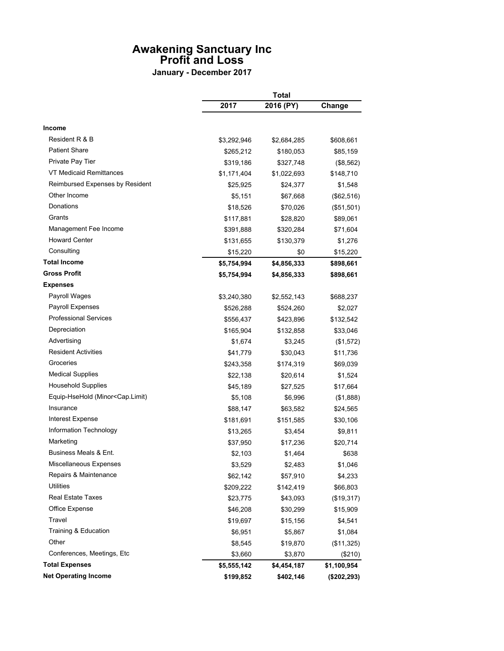## **Awakening Sanctuary Inc Profit and Loss**

**January - December 2017**

|                                                                                                           |             | <b>Total</b> |             |  |
|-----------------------------------------------------------------------------------------------------------|-------------|--------------|-------------|--|
|                                                                                                           | 2017        | 2016 (PY)    | Change      |  |
| <b>Income</b>                                                                                             |             |              |             |  |
| Resident R & B                                                                                            | \$3,292,946 | \$2,684,285  | \$608,661   |  |
| <b>Patient Share</b>                                                                                      | \$265,212   | \$180,053    | \$85,159    |  |
| Private Pay Tier                                                                                          | \$319,186   | \$327,748    | (\$8,562)   |  |
| VT Medicaid Remittances                                                                                   | \$1,171,404 | \$1,022,693  | \$148,710   |  |
| Reimbursed Expenses by Resident                                                                           | \$25,925    | \$24,377     | \$1,548     |  |
| Other Income                                                                                              | \$5,151     | \$67,668     | (\$62,516)  |  |
| Donations                                                                                                 | \$18,526    | \$70,026     | (\$51,501)  |  |
| Grants                                                                                                    | \$117,881   | \$28,820     | \$89,061    |  |
| Management Fee Income                                                                                     | \$391,888   | \$320,284    | \$71,604    |  |
| <b>Howard Center</b>                                                                                      | \$131,655   | \$130,379    | \$1,276     |  |
| Consulting                                                                                                | \$15,220    | \$0          | \$15,220    |  |
| <b>Total Income</b>                                                                                       | \$5,754,994 | \$4,856,333  |             |  |
| <b>Gross Profit</b>                                                                                       | \$5,754,994 | \$4,856,333  | \$898,661   |  |
| <b>Expenses</b>                                                                                           |             |              | \$898,661   |  |
| Payroll Wages                                                                                             | \$3,240,380 | \$2,552,143  | \$688,237   |  |
| <b>Payroll Expenses</b>                                                                                   | \$526,288   | \$524,260    | \$2,027     |  |
| <b>Professional Services</b>                                                                              |             |              |             |  |
| Depreciation                                                                                              | \$556,437   | \$423,896    | \$132,542   |  |
| Advertising                                                                                               | \$165,904   | \$132,858    | \$33,046    |  |
| <b>Resident Activities</b>                                                                                | \$1,674     | \$3,245      | (\$1,572)   |  |
| Groceries                                                                                                 | \$41,779    | \$30,043     | \$11,736    |  |
| <b>Medical Supplies</b>                                                                                   | \$243,358   | \$174,319    | \$69,039    |  |
| <b>Household Supplies</b>                                                                                 | \$22,138    | \$20,614     | \$1,524     |  |
| Equip-HseHold (Minor <cap.limit)< td=""><td>\$45,189</td><td>\$27,525</td><td>\$17,664</td></cap.limit)<> | \$45,189    | \$27,525     | \$17,664    |  |
| Insurance                                                                                                 | \$5,108     | \$6,996      | (\$1,888)   |  |
| <b>Interest Expense</b>                                                                                   | \$88,147    | \$63,582     | \$24,565    |  |
| Information Technology                                                                                    | \$181,691   | \$151,585    | \$30,106    |  |
|                                                                                                           | \$13,265    | \$3,454      | \$9,811     |  |
| Marketing<br>Business Meals & Ent.                                                                        | \$37,950    | \$17,236     | \$20,714    |  |
|                                                                                                           | \$2,103     | \$1,464      | \$638       |  |
| Miscellaneous Expenses                                                                                    | \$3,529     | \$2,483      | \$1,046     |  |
| Repairs & Maintenance                                                                                     | \$62,142    | \$57,910     | \$4,233     |  |
| <b>Utilities</b>                                                                                          | \$209,222   | \$142,419    | \$66,803    |  |
| <b>Real Estate Taxes</b>                                                                                  | \$23,775    | \$43,093     | (\$19,317)  |  |
| Office Expense                                                                                            | \$46,208    | \$30,299     | \$15,909    |  |
| Travel                                                                                                    | \$19,697    | \$15,156     | \$4,541     |  |
| Training & Education                                                                                      | \$6,951     | \$5,867      | \$1,084     |  |
| Other                                                                                                     | \$8,545     | \$19,870     | (\$11,325)  |  |
| Conferences, Meetings, Etc                                                                                | \$3,660     | \$3,870      | (\$210)     |  |
| <b>Total Expenses</b>                                                                                     | \$5,555,142 | \$4,454,187  | \$1,100,954 |  |
| <b>Net Operating Income</b>                                                                               | \$199,852   | \$402,146    | (\$202,293) |  |